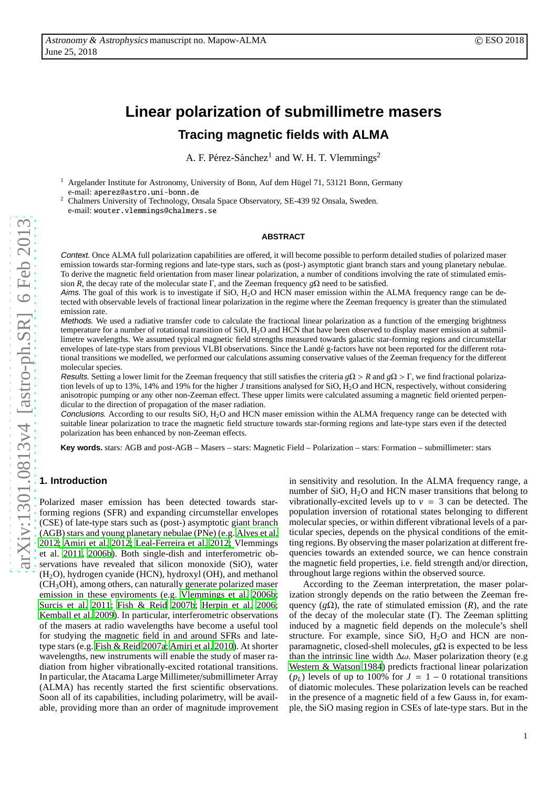# **Linear polarization of submillimetre masers Tracing magnetic fields with ALMA**

A. F. Pérez-Sánchez<sup>1</sup> and W. H. T. Vlemmings<sup>2</sup>

Argelander Institute for Astronomy, University of Bonn, Auf dem Hügel 71, 53121 Bonn, Germany e-mail: aperez@astro.uni-bonn.de

<sup>2</sup> Chalmers University of Technology, Onsala Space Observatory, SE-439 92 Onsala, Sweden. e-mail: wouter.vlemmings@chalmers.se

## **ABSTRACT**

Context. Once ALMA full polarization capabilities are offered, it will become possible to perform detailed studies of polarized maser emission towards star-forming regions and late-type stars, such as (post-) asymptotic giant branch stars and young planetary nebulae. To derive the magnetic field orientation from maser linear polarization, a number of conditions involving the rate of stimulated emission *R*, the decay rate of the molecular state Γ, and the Zeeman frequency  $g\Omega$  need to be satisfied.

Aims. The goal of this work is to investigate if  $SiO$ ,  $H_2O$  and HCN maser emission within the ALMA frequency range can be detected with observable levels of fractional linear polarization in the regime where the Zeeman frequency is greater than the stimulated emission rate.

Methods. We used a radiative transfer code to calculate the fractional linear polarization as a function of the emerging brightness temperature for a number of rotational transition of SiO,  $H_2O$  and HCN that have been observed to display maser emission at submillimetre wavelengths. We assumed typical magnetic field strengths measured towards galactic star-forming regions and circumstellar envelopes of late-type stars from previous VLBI observations. Since the Landé g-factors have not been reported for the different rotational transitions we modelled, we performed our calculations assuming conservative values of the Zeeman frequency for the different molecular species.

Results. Setting a lower limit for the Zeeman frequency that still satisfies the criteria  $g\Omega > R$  and  $g\Omega > \Gamma$ , we find fractional polarization levels of up to 13%, 14% and 19% for the higher *J* transitions analysed for SiO, H<sub>2</sub>O and HCN, respectively, without considering anisotropic pumping or any other non-Zeeman e ffect. These upper limits were calculated assuming a magnetic field oriented perpendicular to the direction of propagation of the maser radiation.

Conclusions. According to our results SiO, H<sub>2</sub>O and HCN maser emission within the ALMA frequency range can be detected with suitable linear polarization to trace the magnetic field structure towards star-forming regions and late-type stars even if the detected polarization has been enhanced by non-Zeeman e ffects.

**Key words.** stars: AGB and post-AGB – Masers – stars: Magnetic Field – Polarization – stars: Formation – submillimeter: stars

# **1. Introduction**

Polarized maser emission has been detected towards starforming regions (SFR) and expanding circumstellar envelopes (CSE) of late-type stars such as (post-) asymptotic giant branch (AGB) stars and young planetary nebulae (PNe) (e.g. [Alves et](#page-7-0) al. [2012](#page-7-0)[;](#page-8-1) [Amiri et al. 2012](#page-7-1)[;](#page-8-1) [Leal-Ferreira et al. 2012;](#page-8-0) Vlemming s et al. [2011,](#page-8-1) [2006b](#page-8-2)). Both single-dish and interferometric observations have revealed that silicon monoxide (SiO), water (H <sup>2</sup>O), hydrogen cyanide (HCN), hydroxyl (OH), and methanol (CH <sup>3</sup>OH), among others, can naturally generate polarized maser emission in these enviroments (e.g. [Vlemmings et al. 2006b](#page-8-2); [Surcis et al. 2011](#page-8-3); [Fish & Reid 2007b](#page-7-2); [Herpin et al. 2006](#page-7-3); [Kemball et al. 2009\)](#page-7-4). In particular, interferometric observations of the masers at radio wavelengths have become a useful tool for studying the magnetic field in and around SFRs and latetype stars (e.g. [Fish & Reid 2007a;](#page-7-5) [Amiri et al. 2010](#page-7-6)). At shorter wavelengths, new instruments will enable the study of maser radiation from higher vibrationally-excited rotational transitions. In particular, the Atacama Large Millimeter/submillimeter Array (ALMA) has recently started the first scientific observations. Soon all of its capabilities, including polarimetry, will be available, providing more than an order of magnitude improvement

in sensitivity and resolution. In the ALMA frequency range, a number of SiO, H <sup>2</sup>O and HCN maser transitions that belong to vibrationally-excited levels up to  $v = 3$  can be detected. The population inversion of rotational states belonging to di fferent molecular species, or within di fferent vibrational levels of a particular species, depends on the physical conditions of the emitting regions. By observing the maser polarization at different frequencies towards an extended source, we can hence constrain the magnetic field properties, i.e. field strength and/or direction, throughout large regions within the observed source.

According to the Zeeman interpretation, the maser polarization strongly depends on the ratio between the Zeeman frequency ( $g\Omega$ ), the rate of stimulated emission (*R*), and the rate of the decay of the molecular state ( Γ). The Zeeman splitting induced by a magnetic field depends on the molecule's shell structure. For example, since  $SiO$ ,  $H<sub>2</sub>O$  and  $HCN$  are nonparamagnetic, closed-shell molecules, *g*Ω is expected to be less than the intrinsic line width  $\Delta\omega$ . Maser polarization theory (e.g [Western & Watson 1984](#page-8-4)) predicts fractional linear polarization ( $p_L$ ) levels of up to 100% for  $J = 1 - 0$  rotational transitions of diatomic molecules. These polarization levels can be reached in the presence of a magnetic field of a few Gauss in, for example, the SiO masing region in CSEs of late-type stars. But in the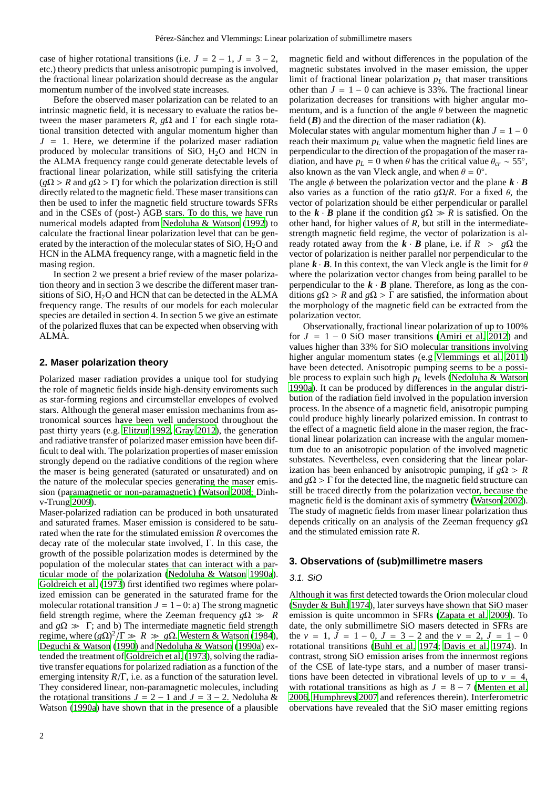case of higher rotational transitions (i.e.  $J = 2 - 1$ ,  $J = 3 - 2$ , etc.) theory predicts that unless anisotropic pumping is involved, the fractional linear polarization should decrease as the angular momentum number of the involved state increases.

Before the observed maser polarization can be related to an intrinsic magnetic field, it is necessary to evaluate the ratios between the maser parameters *R*,  $g\Omega$  and  $\Gamma$  for each single rotational transition detected with angular momentum higher than  $J = 1$ . Here, we determine if the polarized maser radiation produced by molecular transitions of SiO,  $H<sub>2</sub>O$  and HCN in the ALMA frequency range could generate detectable levels of fractional linear polarization, while still satisfying the criteria  $(g\Omega > R$  and  $g\Omega > \Gamma$ ) for which the polarization direction is still directly related to the magnetic field. These maser transitions can then be used to infer the magnetic field structure towards SFRs and in the CSEs of (post-) AGB stars. To do this, we have run numerical models adapted from [Nedoluha & Watson](#page-8-5) [\(1992\)](#page-8-5) to calculate the fractional linear polarization level that can be generated by the interaction of the molecular states of SiO, H2O and HCN in the ALMA frequency range, with a magnetic field in the masing region.

In section 2 we present a brief review of the maser polarization theory and in section 3 we describe the different maser transitions of SiO,  $H_2O$  and HCN that can be detected in the ALMA frequency range. The results of our models for each molecular species are detailed in section 4. In section 5 we give an estimate of the polarized fluxes that can be expected when observing with ALMA.

## **2. Maser polarization theory**

Polarized maser radiation provides a unique tool for studying the role of magnetic fields inside high-density enviroments such as star-forming regions and circumstellar envelopes of evolved stars. Although the general maser emission mechanims from astronomical sources have been well understood throughout the past thirty years (e.g. [Elitzur 1992,](#page-7-7) [Gray 2012\)](#page-7-8), the generation and radiative transfer of polarized maser emission have been difficult to deal with. The polarization properties of maser emission strongly depend on the radiative conditions of the region where the maser is being generated (saturated or unsaturated) and on the nature of the molecular species generating the maser emission (pa[ramagnetic or non-paramagnetic\)](#page-7-9) [\(Watson 2008](#page-8-6)[;](#page-7-9) Dinhv-Trung [2009](#page-7-9)).

Maser-polarized radiation can be produced in both unsaturated and saturated frames. Maser emission is considered to be saturated when the rate for the stimulated emission *R* overcomes the decay rate of the molecular state involved, Γ. In this case, the growth of the possible polarization modes is determined by the population of the molecular states that can interact with a particular mode of the polarization [\(Nedoluha & Watson 1990a](#page-8-7)). [Goldreich et al. \(1973](#page-7-10)) first identified two regimes where polarized emission can be generated in the saturated frame for the molecular rotational transition  $J = 1 - 0$ : a) The strong magnetic field strength regime, where the Zeeman frequency  $g\Omega \gg R$ and  $g\Omega \gg \Gamma$ ; and b) The intermediate magnetic field strength regime, where  $(g\Omega)^2/\Gamma \gg R \gg g\Omega$ . [Western & Watson \(1984](#page-8-4)), [Deguchi & Watson \(1990](#page-7-11)) and [Nedoluha & Watson \(1990a\)](#page-8-7) extended the treatment of [Goldreich et al.](#page-7-10) [\(1973\)](#page-7-10), solving the radiative transfer equations for polarized radiation as a function of the emerging intensity *R*/Γ, i.e. as a function of the saturation level. They considered linear, non-paramagnetic molecules, including the rot[ational transitions](#page-8-7)  $J = 2 - 1$  and  $J = 3 - 2$ . Nedoluha & Watson [\(1990a\)](#page-8-7) have shown that in the presence of a plausible

magnetic field and without differences in the population of the magnetic substates involved in the maser emission, the upper limit of fractional linear polarization  $p_L$  that maser transitions other than  $J = 1 - 0$  can achieve is 33%. The fractional linear polarization decreases for transitions with higher angular momentum, and is a function of the angle  $\theta$  between the magnetic field (*B*) and the direction of the maser radiation (*k*).

Molecular states with angular momentum higher than  $J = 1 - 0$ reach their maximum *p<sup>L</sup>* value when the magnetic field lines are perpendicular to the direction of the propagation of the maser radiation, and have  $p_L = 0$  when  $\theta$  has the critical value  $\theta_{cr} \sim 55^\circ$ , also known as the van Vleck angle, and when  $\theta = 0^{\circ}$ .

The angle  $\phi$  between the polarization vector and the plane  $\mathbf{k} \cdot \mathbf{B}$ also varies as a function of the ratio  $g\Omega/R$ . For a fixed  $\theta$ , the vector of polarization should be either perpendicular or parallel to the  $\mathbf{k} \cdot \mathbf{B}$  plane if the condition  $g\Omega \gg R$  is satisfied. On the other hand, for higher values of *R*, but still in the intermediatestrength magnetic field regime, the vector of polarization is already rotated away from the  $\mathbf{k} \cdot \mathbf{B}$  plane, i.e. if  $R > g\Omega$  the vector of polarization is neither parallel nor perpendicular to the plane  $\mathbf{k} \cdot \mathbf{B}$ . In this context, the van Vleck angle is the limit for  $\theta$ where the polarization vector changes from being parallel to be perpendicular to the  $\mathbf{k} \cdot \mathbf{B}$  plane. Therefore, as long as the conditions  $g\Omega > R$  and  $g\Omega > \overline{\Gamma}$  are satisfied, the information about the morphology of the magnetic field can be extracted from the polarization vector.

Observationally, fractional linear polarization of up to 100% for  $J = 1 - 0$  SiO maser transitions [\(Amiri et al. 2012](#page-7-1)) and values higher than 33% for SiO molecular transitions involving higher angular momentum states (e.g [Vlemmings et al. 2011\)](#page-8-1) have been detected. Anisotropic pumping seems to be a possible process to explain such high *p<sup>L</sup>* levels [\(Nedoluha & Watson](#page-8-7) [1990a](#page-8-7)). It can be produced by differences in the angular distribution of the radiation field involved in the population inversion process. In the absence of a magnetic field, anisotropic pumping could produce highly linearly polarized emission. In contrast to the effect of a magnetic field alone in the maser region, the fractional linear polarization can increase with the angular momentum due to an anisotropic population of the involved magnetic substates. Nevertheless, even considering that the linear polarization has been enhanced by anisotropic pumping, if  $g\Omega > R$ and  $g\Omega$  >  $\Gamma$  for the detected line, the magnetic field structure can still be traced directly from the polarization vector, because the magnetic field is the dominant axis of symmetry [\(Watson 2002](#page-8-8)). The study of magnetic fields from maser linear polarization thus depends critically on an analysis of the Zeeman frequency *g*Ω and the stimulated emission rate *R*.

#### **3. Observations of (sub)millimetre masers**

#### 3.1. SiO

Although it was first detected towards the Orion molecular cloud [\(Snyder & Buhl 1974\)](#page-8-9), later surveys have shown that SiO maser emission is quite uncommon in SFRs [\(Zapata et al. 2009](#page-8-10)). To date, the only submillimetre SiO masers detected in SFRs are the  $v = 1$ ,  $J = 1 - 0$ ,  $J = 3 - 2$  and the  $v = 2$ ,  $J = 1 - 0$ rotational transitions [\(Buhl et al. 1974;](#page-7-12) [Davis et al. 1974\)](#page-7-13). In contrast, strong SiO emission arises from the innermost regions of the CSE of late-type stars, and a number of maser transitions have been detected in vibrational levels of up to  $v = 4$ , with rotational transitions as high as  $J = 8 - 7$  [\(Menten et al.](#page-8-11) [2006](#page-8-11), [Humphreys 2007](#page-7-14) and references therein). Interferometric obervations have revealed that the SiO maser emitting regions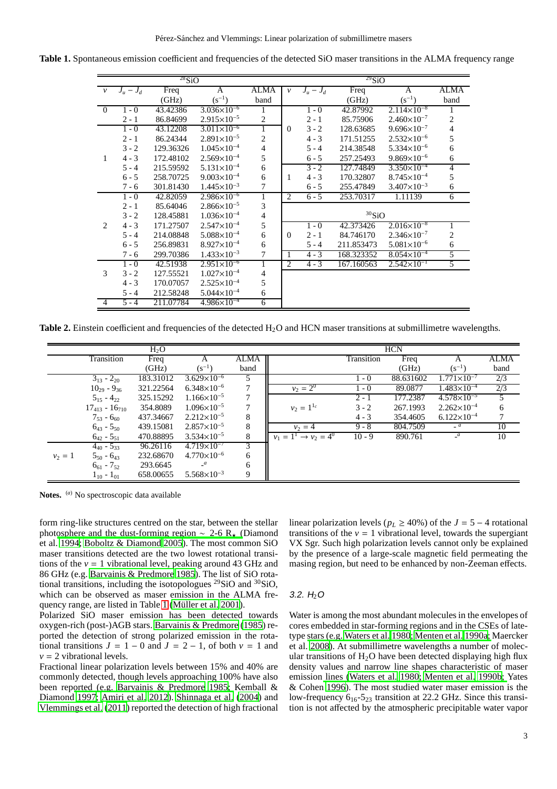**Table 1.** Spontaneous emission coefficient and frequencies of the detected SiO maser transitions in the ALMA frequency range

<span id="page-2-0"></span>

|                |           | $^{28}SiO$ |                        |                          | $^{29}SiO$   |           |            |                        |                |  |
|----------------|-----------|------------|------------------------|--------------------------|--------------|-----------|------------|------------------------|----------------|--|
| $\mathcal V$   | $J_u-J_d$ | Freq       | A                      | ALMA                     | $\nu$        | $J_u-J_d$ | Freq       | A                      | <b>ALMA</b>    |  |
|                |           | (GHz)      | $(s^{-1})$             | band                     |              |           | (GHz)      | $(s^{-1})$             | band           |  |
| $\overline{0}$ | $1 - 0$   | 43.42386   | $3.036\times10^{-6}$   | 1                        |              | $1 - 0$   | 42.87992   | $2.114\times10^{-8}$   |                |  |
|                | $2 - 1$   | 86.84699   | $2.915\times10^{-5}$   | $\overline{c}$           |              | $2 - 1$   | 85.75906   | $2.460\times10^{-7}$   | $\mathbf{2}$   |  |
|                | $1 - 0$   | 43.12208   | $3.011\times10^{-6}$   | 1                        | $\mathbf{0}$ | $3 - 2$   | 128.63685  | $9.696 \times 10^{-7}$ | $\overline{4}$ |  |
|                | $2 - 1$   | 86.24344   | $2.891\times10^{-5}$   | $\overline{c}$           |              | $4 - 3$   | 171.51255  | $2.532\times10^{-6}$   | 5              |  |
|                | $3 - 2$   | 129.36326  | $1.045\times10^{-4}$   | $\overline{\mathcal{A}}$ |              | $5 - 4$   | 214.38548  | $5.334\times10^{-6}$   | 6              |  |
| 1              | $4 - 3$   | 172.48102  | $2.569\times10^{-4}$   | 5                        |              | $6 - 5$   | 257.25493  | $9.869\times10^{-6}$   | 6              |  |
|                | $5 - 4$   | 215.59592  | $5.131\times10^{-4}$   | 6                        |              | $3 - 2$   | 127.74849  | $3.350\times10^{-4}$   | 4              |  |
|                | $6 - 5$   | 258.70725  | $9.003\times10^{-4}$   | 6                        | 1            | $4 - 3$   | 170.32807  | $8.745 \times 10^{-4}$ | 5              |  |
|                | $7 - 6$   | 301.81430  | $1.445\times10^{-3}$   | 7                        |              | $6 - 5$   | 255.47849  | $3.407\times10^{-3}$   | 6              |  |
|                | $1 - 0$   | 42.82059   | $2.986\times10^{-6}$   | 1                        | 2            | $6 - 5$   | 253.70317  | 1.11139                | 6              |  |
|                | $2 - 1$   | 85.64046   | $2.866 \times 10^{-5}$ | 3                        |              |           |            |                        |                |  |
|                | $3 - 2$   | 128.45881  | $1.036\times10^{-4}$   | $\overline{\mathcal{A}}$ |              |           | $30$ SiO   |                        |                |  |
| 2              | $4 - 3$   | 171.27507  | $2.547\times10^{-4}$   | 5                        |              | $1 - 0$   | 42.373426  | $2.016\times10^{-8}$   |                |  |
|                | $5 - 4$   | 214.08848  | $5.088\times10^{-4}$   | 6                        | $\Omega$     | $2 - 1$   | 84.746170  | $2.346\times10^{-7}$   | 2              |  |
|                | $6 - 5$   | 256.89831  | $8.927\times10^{-4}$   | 6                        |              | $5 - 4$   | 211.853473 | $5.081\times10^{-6}$   | 6              |  |
|                | 7 - 6     | 299.70386  | $1.433\times10^{-3}$   | 7                        | $\mathbf{1}$ | $4 - 3$   | 168.323352 | $8.054\times10^{-4}$   | 5              |  |
|                | $1 - 0$   | 42.51938   | $2.951\times10^{-6}$   | 1                        | 2            | $4 - 3$   | 167.160563 | $2.542\times10^{-1}$   | 5              |  |
| 3              | $3 - 2$   | 127.55521  | $1.027\times10^{-4}$   | 4                        |              |           |            |                        |                |  |
|                | $4 - 3$   | 170.07057  | $2.525\times10^{-4}$   | 5                        |              |           |            |                        |                |  |
|                | $5 - 4$   | 212.58248  | $5.044\times10^{-4}$   | 6                        |              |           |            |                        |                |  |
| $\overline{4}$ | $5 - 4$   | 211.07784  | $4.986\times10^{-4}$   | 6                        |              |           |            |                        |                |  |

**Table 2.** Einstein coefficient and frequencies of the detected H<sub>2</sub>O and HCN maser transitions at submillimetre wavelengths.

<span id="page-2-1"></span>

|           |                            | $H_2O$    |                        |               |                                   |            | <b>HCN</b> |                        |             |
|-----------|----------------------------|-----------|------------------------|---------------|-----------------------------------|------------|------------|------------------------|-------------|
|           | Transition                 | Freq      | A                      | <b>ALMA</b>   |                                   | Transition | Freq       | $\mathsf{A}$           | <b>ALMA</b> |
|           |                            | (GHz)     | $(s^{-1})$             | band          |                                   |            | (GHz)      | $(s^{-1})$             | band        |
|           | $3_{13} - 2_{20}$          | 183.31012 | $3.629\times10^{-6}$   | 5             |                                   | $1 - 0$    | 88.631602  | $1.771\times10^{-7}$   | 2/3         |
|           | $10_{29} - 9_{36}$         | 321.22564 | $6.348\times10^{-6}$   | $\mathcal{I}$ | $v_2 = 2^0$                       | $1 - 0$    | 89.0877    | $1.483\times10^{-4}$   | 2/3         |
|           | $5_{15} - 4_{22}$          | 325.15292 | $1.166\times10^{-5}$   | $\mathbf{r}$  |                                   | $2 - 1$    | 177.2387   | $4.578\times10^{-5}$   |             |
|           | $17_{413} - 16_{710}$      | 354.8089  | $1.096\times10^{-5}$   |               | $v_2 = 1^{1_c}$                   | $3 - 2$    | 267.1993   | $2.262 \times 10^{-4}$ | 6           |
|           | $7_{53}$ - 6 <sub>60</sub> | 437.34667 | $2.212\times10^{-5}$   | 8             |                                   | $4 - 3$    | 354.4605   | $6.122\times10^{-4}$   |             |
|           | $6_{43} - 5_{50}$          | 439.15081 | $2.857\times10^{-5}$   | 8             | $v_2 = 4$                         | $9 - 8$    | 804.7509   | $-$ <sup>a</sup>       | 10          |
|           | $6_{42} - 5_{51}$          | 470.88895 | $3.534\times10^{-5}$   | 8             | $v_1 = 1^1 \rightarrow v_2 = 4^0$ | $10 - 9$   | 890.761    | $\overline{a}$         | 10          |
|           | $4_{40} - 5_{33}$          | 96.26116  | $4.719\times10^{-7}$   | 3             |                                   |            |            |                        |             |
| $v_2 = 1$ | $5_{50} - 6_{43}$          | 232.68670 | $4.770\times10^{-6}$   | 6             |                                   |            |            |                        |             |
|           | $6_{61}$ - $7_{52}$        | 293.6645  | $\lbrack$ <sup>a</sup> | 6             |                                   |            |            |                        |             |
|           | $1_{10} - 1_{01}$          | 658.00655 | $5.568\times10^{-3}$   | 9             |                                   |            |            |                        |             |

**Notes.** (*a*) No spectroscopic data available

form ring-like structures centred on the star, between the stellar phot[osphere and the dust-forming region](#page-7-15)  $\sim$  2-6 R<sub>★</sub> (Diamond et al. [1994;](#page-7-15) [Boboltz & Diamond 2005](#page-7-16)). The most common SiO maser transitions detected are the two lowest rotational transitions of the  $v = 1$  vibrational level, peaking around 43 GHz and 86 GHz (e.g. [Barvainis & Predmore 1985](#page-7-17)). The list of SiO rotational transitions, including the isotopologues <sup>29</sup>SiO and <sup>30</sup>SiO, which can be observed as maser emission in the ALMA fre-quency range, are listed in Table [1](#page-2-0) (Müller et al. 2001).

Polarized SiO maser emission has been detected towards oxygen-rich (post-)AGB stars. [Barvainis & Predmore \(1985](#page-7-17)) reported the detection of strong polarized emission in the rotational transitions  $J = 1 - 0$  and  $J = 2 - 1$ , of both  $v = 1$  and  $v = 2$  vibrational levels.

Fractional linear polarization levels between 15% and 40% are commonly detected, though levels approaching 100% have also been reported (e.g. [Barvainis & Predmore 1985](#page-7-17); Kemball & Diamond [1997;](#page-7-18) [Amiri et al. 2012\)](#page-7-1). [Shinnaga et al. \(2004](#page-8-13)) and [Vlemmings et al. \(2011](#page-8-1)) reported the detection of high fractional linear polarization levels ( $p_L \geq 40\%$ ) of the  $J = 5 - 4$  rotational transitions of the  $v = 1$  vibrational level, towards the supergiant VX Sgr. Such high polarization levels cannot only be explained by the presence of a large-scale magnetic field permeating the masing region, but need to be enhanced by non-Zeeman effects.

## 3.2.  $H_2O$

Water is among the most abundant molecules in the envelopes of cores embedded in star-forming regions and in the CSEs of latetype [stars \(e.g.](#page-8-16) [Waters et al. 1980;](#page-8-14) [Menten et al. 1990a](#page-8-15)[;](#page-8-16) Maercker et al. [2008\)](#page-8-16). At submillimetre wavelengths a number of molecular transitions of  $H_2O$  have been detected displaying high flux density values and narrow line shapes characteristic of maser emission [lines](#page-8-18) [\(Waters et al. 1980;](#page-8-14) [Menten et al. 1990b](#page-8-17)[;](#page-8-18) Yates & Cohen [1996](#page-8-18)). The most studied water maser emission is the low-frequency  $6_{16}$ - $5_{23}$  transition at 22.2 GHz. Since this transition is not affected by the atmospheric precipitable water vapor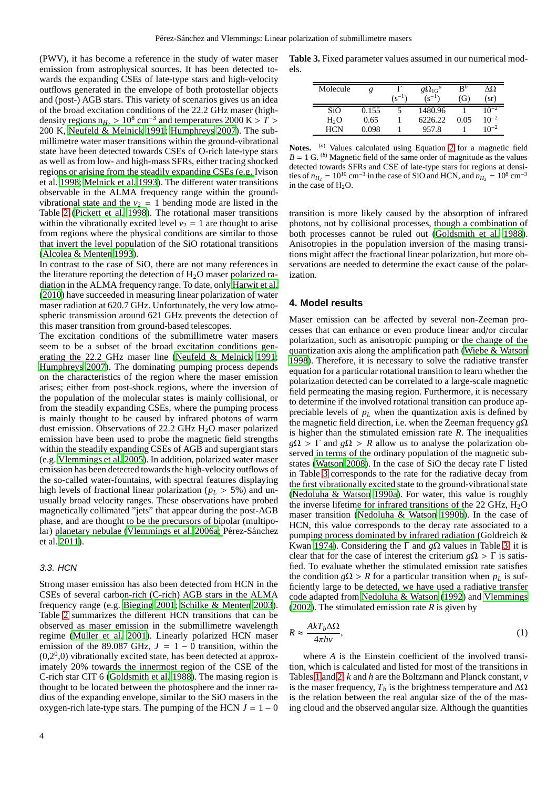(PWV), it has become a reference in the study of water maser emission from astrophysical sources. It has been detected towards the expanding CSEs of late-type stars and high-velocity outflows generated in the envelope of both protostellar objects and (post-) AGB stars. This variety of scenarios gives us an idea of the broad excitation conditions of the 22.2 GHz maser (highdensity regions  $n_{H_2} > 10^8$  cm<sup>-3</sup> and temperatures 2000 K >  $\overline{T}$  > 200 K, [Neufeld & Melnick 1991](#page-8-19); [Humphreys 2007](#page-7-14)). The submillimetre water maser transitions within the ground-vibrational state have been detected towards CSEs of O-rich late-type stars as well as from low- and high-mass SFRs, either tracing shocked regi[ons or arising from the steadily expanding CSEs \(e.g.](#page-7-19) Ivison et al. [1998](#page-7-19); [Melnick et al. 1993\)](#page-8-20). The different water transitions observable in the ALMA frequency range within the groundvibrational state and the  $v_2 = 1$  bending mode are listed in the Table [2](#page-2-1) [\(Pickett et al. 1998\)](#page-8-21). The rotational maser transitions within the vibrationally excited level  $v_2 = 1$  are thought to arise from regions where the physical conditions are similar to those that invert the level population of the SiO rotational transitions [\(Alcolea & Menten 1993](#page-7-20)).

In contrast to the case of SiO, there are not many references in the literature reporting the detection of  $H_2O$  maser polarized radiation in the ALMA frequency range. To date, only [Harwit et al.](#page-7-21) [\(2010\)](#page-7-21) have succeeded in measuring linear polarization of water maser radiation at 620.7 GHz. Unfortunately, the very low atmospheric transmission around 621 GHz prevents the detection of this maser transition from ground-based telescopes.

The excitation conditions of the submillimetre water masers seem to be a subset of the broad excitation conditions generating the 22.2 GHz maser line [\(Neufeld & Melnick 1991](#page-8-19); [Humphreys 2007\)](#page-7-14). The dominating pumping process depends on the characteristics of the region where the maser emission arises; either from post-shock regions, where the inversion of the population of the molecular states is mainly collisional, or from the steadily expanding CSEs, where the pumping process is mainly thought to be caused by infrared photons of warm dust emission. Observations of  $22.2$  GHz H<sub>2</sub>O maser polarized emission have been used to probe the magnetic field strengths within the steadily expanding CSEs of AGB and supergiant stars (e.g. [Vlemmings et al. 2005\)](#page-8-22). In addition, polarized water maser emission has been detected towards the high-velocity outflows of the so-called water-fountains, with spectral features displaying high levels of fractional linear polarization ( $p_L > 5\%$ ) and unusually broad velocity ranges. These observations have probed magnetically collimated "jets" that appear during the post-AGB phase, and are thought to be the precursors of bipolar (multipolar) [planetary nebulae](#page-8-24) [\(Vlemmings et al. 2006a](#page-8-23)[;](#page-8-24) Pérez-Sánchez et al. [2011](#page-8-24)).

#### 3.3. HCN

Strong maser emission has also been detected from HCN in the CSEs of several carbon-rich (C-rich) AGB stars in the ALMA frequency range (e.g. [Bieging 2001;](#page-7-22) [Schilke & Menten 2003](#page-8-25)). Table [2](#page-2-1) summarizes the different HCN transitions that can be observed as maser emission in the submillimetre wavelength regime (Müller et al. 2001). Linearly polarized HCN maser emission of the 89.087 GHz,  $J = 1 - 0$  transition, within the  $(0,2<sup>0</sup>,0)$  vibrationally excited state, has been detected at approximately 20% towards the innermost region of the CSE of the C-rich star CIT 6 [\(Goldsmith et al. 1988](#page-7-23)). The masing region is thought to be located between the photosphere and the inner radius of the expanding envelope, similar to the SiO masers in the oxygen-rich late-type stars. The pumping of the HCN  $J = 1 - 0$ 

<span id="page-3-0"></span>

| Molecule         |       | $(s^{-1})$ | $g\Omega_{1G}^a$<br>$(s^{-1})$ | $\mathbf{B}^b$<br>(G) | ΛQ<br>(sr) |
|------------------|-------|------------|--------------------------------|-----------------------|------------|
| SiO.             | 0.155 |            | 1480.96                        |                       | $10^{-2}$  |
| H <sub>2</sub> O | 0.65  |            | 6226.22                        | 0.05                  | $10^{-2}$  |
| <b>HCN</b>       | 0.098 |            | 957.8                          |                       | $10^{-2}$  |

**Notes.** (*a*) Values calculated using Equation [2](#page-4-0) for a magnetic field  $B = 1$  G. <sup>(b)</sup> Magnetic field of the same order of magnitude as the values detected towards SFRs and CSE of late-type stars for regions at densities of  $n_{H_2} = 10^{10}$  cm<sup>-3</sup> in the case of SiO and HCN, and  $n_{H_2} = 10^8$  cm<sup>-3</sup> in the case of  $H_2O$ .

transition is more likely caused by the absorption of infrared photons, not by collisional processes, though a combination of both processes cannot be ruled out [\(Goldsmith et al. 1988](#page-7-23)). Anisotropies in the population inversion of the masing transitions might affect the fractional linear polarization, but more observations are needed to determine the exact cause of the polarization.

## **4. Model results**

Maser emission can be affected by several non-Zeeman processes that can enhance or even produce linear and/or circular polarization, such as anisotropic pumping or the change of the quantization axis along the amplification path [\(Wiebe & Watson](#page-8-26) [1998](#page-8-26)). Therefore, it is necessary to solve the radiative transfer equation for a particular rotational transition to learn whether the polarization detected can be correlated to a large-scale magnetic field permeating the masing region. Furthermore, it is necessary to determine if the involved rotational transition can produce appreciable levels of *p<sup>L</sup>* when the quantization axis is defined by the magnetic field direction, i.e. when the Zeeman frequency *g*Ω is higher than the stimulated emission rate *R*. The inequalities  $g\Omega$  >  $\Gamma$  and  $g\Omega$  > *R* allow us to analyse the polarization observed in terms of the ordinary population of the magnetic substates [\(Watson 2008](#page-8-6)). In the case of SiO the decay rate Γ listed in Table [3](#page-3-0) corresponds to the rate for the radiative decay from the first vibrationally excited state to the ground-vibrational state [\(Nedoluha & Watson 1990a](#page-8-7)). For water, this value is roughly the inverse lifetime for infrared transitions of the 22 GHz,  $H_2O$ maser transition [\(Nedoluha & Watson 1990b\)](#page-8-27). In the case of HCN, this value corresponds to the decay rate associated to a pump[ing process dominated by infrared radiation \(](#page-7-24)Goldreich & Kwan [1974\)](#page-7-24). Considering the Γ and *g*Ω values in Table [3,](#page-3-0) it is clear that for the case of interest the criterium  $g\Omega > \Gamma$  is satisfied. To evaluate whether the stimulated emission rate satisfies the condition *g* $\Omega$  > *R* for a particular transition when  $p_L$  is sufficiently large to be detected, we have used a radiative transfer code adapted from [Nedoluha & Watson \(1992](#page-8-5)) and [Vlemmings](#page-8-28) [\(2002](#page-8-28)). The stimulated emission rate *R* is given by

$$
R \approx \frac{AkT_b\Delta\Omega}{4\pi h\nu},\tag{1}
$$

where *A* is the Einstein coefficient of the involved transition, which is calculated and listed for most of the transitions in Tables [1](#page-2-0) and [2;](#page-2-1) *k* and *h* are the Boltzmann and Planck constant, *v* is the maser frequency,  $T_b$  is the brightness temperature and  $\Delta\Omega$ is the relation between the real angular size of the of the masing cloud and the observed angular size. Although the quantities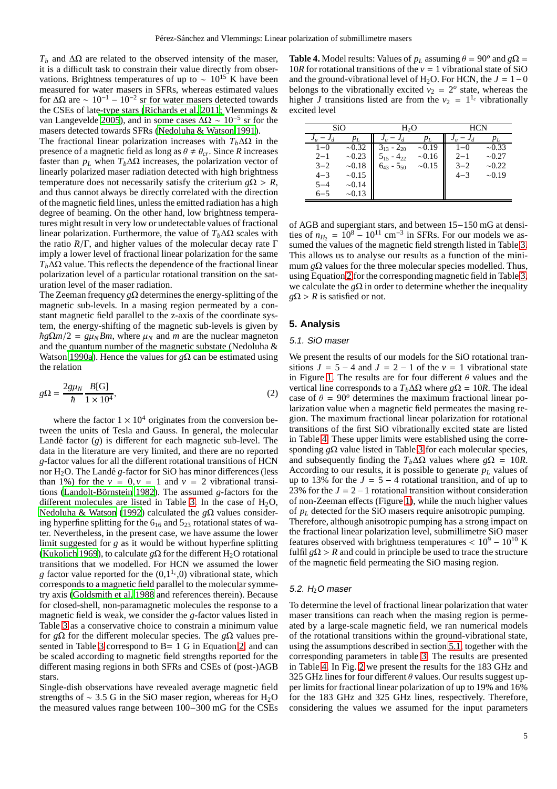$T_b$  and  $\Delta\Omega$  are related to the observed intensity of the maser, it is a difficult task to constrain their value directly from observations. Brightness temperatures of up to  $\sim 10^{15}$  K have been measured for water masers in SFRs, whereas estimated values for ΔΩ are  $\sim 10^{-1} - 10^{-2}$  sr for water masers detected towards the CSEs of lat[e-type stars](#page-8-30) [\(Richards et al. 2011](#page-8-29)[;](#page-8-30) Vlemmings & van Langevelde [2005](#page-8-30)), and in some cases  $\Delta\Omega \sim 10^{-5}$  sr for the masers detected towards SFRs [\(Nedoluha & Watson 1991\)](#page-8-31).

The fractional linear polarization increases with  $T_b \Delta\Omega$  in the presence of a magnetic field as long as  $\theta \neq \theta_{cr}$ . Since *R* increases faster than  $p_L$  when  $T_b \Delta \Omega$  increases, the polarization vector of linearly polarized maser radiation detected with high brightness temperature does not necessarily satisfy the criterium  $g\Omega > R$ , and thus cannot always be directly correlated with the direction of the magnetic field lines, unless the emitted radiation has a high degree of beaming. On the other hand, low brightness temperatures might result in very low or undetectable values of fractional linear polarization. Furthermore, the value of  $T_b\Delta\Omega$  scales with the ratio *R*/Γ, and higher values of the molecular decay rate Γ imply a lower level of fractional linear polarization for the same  $T_b\Delta\Omega$  value. This reflects the dependence of the fractional linear polarization level of a particular rotational transition on the saturation level of the maser radiation.

The Zeeman frequency *g*Ω determines the energy-splitting of the magnetic sub-levels. In a masing region permeated by a constant magnetic field parallel to the z-axis of the coordinate system, the energy-shifting of the magnetic sub-levels is given by  $\hbar g \Omega m/2 = g \mu_N B m$ , where  $\mu_N$  and *m* are the nuclear magneton and the [quantum number of the magnetic substate \(](#page-8-7)Nedoluha & Watson [1990a\)](#page-8-7). Hence the values for *g*Ω can be estimated using the relation

<span id="page-4-0"></span>
$$
g\Omega = \frac{2g\mu_N}{\hbar} \frac{B[G]}{1 \times 10^4},\tag{2}
$$

where the factor  $1 \times 10^4$  originates from the conversion between the units of Tesla and Gauss. In general, the molecular Landé factor  $(g)$  is different for each magnetic sub-level. The data in the literature are very limited, and there are no reported *g*-factor values for all the different rotational transitions of HCN nor  $H_2O$ . The Landé *g*-factor for SiO has minor differences (less than 1%) for the  $v = 0$ ,  $v = 1$  and  $v = 2$  vibrational transitions (Landolt-Börnstein 1982). The assumed *g*-factors for the different molecules are listed in Table [3.](#page-3-0) In the case of  $H_2O$ , [Nedoluha & Watson \(1992](#page-8-5)) calculated the *g*Ω values considering hyperfine splitting for the  $6_{16}$  and  $5_{23}$  rotational states of water. Nevertheless, in the present case, we have assume the lower limit suggested for *g* as it would be without hyperfine splitting [\(Kukolich 1969\)](#page-7-26), to calculate *g* $\Omega$  for the different H<sub>2</sub>O rotational transitions that we modelled. For HCN we assumed the lower *g* factor value reported for the  $(0,1^{1_c},0)$  vibrational state, which corresponds to a magnetic field parallel to the molecular symmetry axis [\(Goldsmith et al. 1988](#page-7-23) and references therein). Because for closed-shell, non-paramagnetic molecules the response to a magnetic field is weak, we consider the *g*-factor values listed in Table [3](#page-3-0) as a conservative choice to constrain a minimum value for *g*Ω for the different molecular species. The *g*Ω values pre-sented in Table [3](#page-3-0) correspond to B = 1 G in Equation [2,](#page-4-0) and can be scaled according to magnetic field strengths reported for the different masing regions in both SFRs and CSEs of (post-)AGB stars.

Single-dish observations have revealed average magnetic field strengths of  $\sim$  3.5 G in the SiO maser region, whereas for H<sub>2</sub>O the measured values range between 100−300 mG for the CSEs

<span id="page-4-1"></span>**Table 4.** Model results: Values of  $p_L$  assuming  $\theta = 90^\circ$  and  $g\Omega =$ 10*R* for rotational transitions of the  $v = 1$  vibrational state of SiO and the ground-vibrational level of H<sub>2</sub>O. For HCN, the  $J = 1-0$ belongs to the vibrationally excited  $v_2 = 2^{\circ}$  state, whereas the higher *J* transitions listed are from the  $v_2 = 1^{1_c}$  vibrationally excited level

| SiO              |             | H <sub>2</sub> O  |             | <b>HCN</b> |             |  |
|------------------|-------------|-------------------|-------------|------------|-------------|--|
| -<br>$J_d$<br>Ju | PL          | $J_{ll}$          | $p_L$       | $J_u$      | $p_L$       |  |
| $1 - 0$          | $\sim 0.32$ | $3_{13} - 2_{20}$ | $\sim 0.19$ | $-()$      | $\sim 0.33$ |  |
| $2 - 1$          | $\sim 0.23$ | $4_{22}$<br>515   | $\sim 0.16$ | $2 - 1$    | $\sim 0.27$ |  |
| $3 - 2$          | ~18         | $6_{43} - 5_{50}$ | ~15         | $3 - 2$    | $\sim 0.22$ |  |
| $4 - 3$          | ~15         |                   |             | $4 - 3$    | $\sim 0.19$ |  |
| $5 - 4$          | $\sim 0.14$ |                   |             |            |             |  |
| $6 - 5$          | $\sim 0.13$ |                   |             |            |             |  |

of AGB and supergiant stars, and between 15−150 mG at densities of  $n_{H_2} = 10^8 - 10^{11}$  cm<sup>-3</sup> in SFRs. For our models we assumed the values of the magnetic field strength listed in Table [3.](#page-3-0) This allows us to analyse our results as a function of the minimum  $g\Omega$  values for the three molecular species modelled. Thus, using Equation [2](#page-4-0) for the corresponding magnetic field in Table [3,](#page-3-0) we calculate the  $g\Omega$  in order to determine whether the inequality  $g\Omega > R$  is satisfied or not.

# <span id="page-4-2"></span>**5. Analysis**

#### 5.1. SiO maser

We present the results of our models for the SiO rotational transitions  $J = 5 - 4$  and  $J = 2 - 1$  of the  $v = 1$  vibrational state in Figure [1.](#page-5-0) The results are for four different  $\theta$  values and the vertical line corresponds to a  $T_b \Delta \Omega$  where  $g\Omega = 10R$ . The ideal case of  $\theta = 90^\circ$  determines the maximum fractional linear polarization value when a magnetic field permeates the masing region. The maximum fractional linear polarization for rotational transitions of the first SiO vibrationally excited state are listed in Table [4.](#page-4-1) These upper limits were established using the corresponding *g*Ω value listed in Table [3](#page-3-0) for each molecular species, and subsequently finding the  $T_b \Delta \Omega$  values where  $g\Omega = 10R$ . According to our results, it is possible to generate  $p_L$  values of up to 13% for the  $J = 5 - 4$  rotational transition, and of up to 23% for the  $J = 2 - 1$  rotational transition without consideration of non-Zeeman effects (Figure [1\)](#page-5-0), while the much higher values of *p<sup>L</sup>* detected for the SiO masers require anisotropic pumping. Therefore, although anisotropic pumping has a strong impact on the fractional linear polarization level, submillimetre SiO maser features observed with brightness temperatures <  $10^9 - 10^{10}$  K fulfil  $g\Omega > R$  and could in principle be used to trace the structure of the magnetic field permeating the SiO masing region.

#### 5.2.  $H<sub>2</sub>O$  maser

To determine the level of fractional linear polarization that water maser transitions can reach when the masing region is permeated by a large-scale magnetic field, we ran numerical models of the rotational transitions within the ground-vibrational state, using the assumptions described in section [5.1,](#page-4-2) together with the corresponding parameters in table [3.](#page-3-0) The results are presented in Table [4.](#page-4-1) In Fig. [2](#page-5-1) we present the results for the 183 GHz and 325 GHz lines for four different  $\theta$  values. Our results suggest upper limits for fractional linear polarization of up to 19% and 16% for the 183 GHz and 325 GHz lines, respectively. Therefore, considering the values we assumed for the input parameters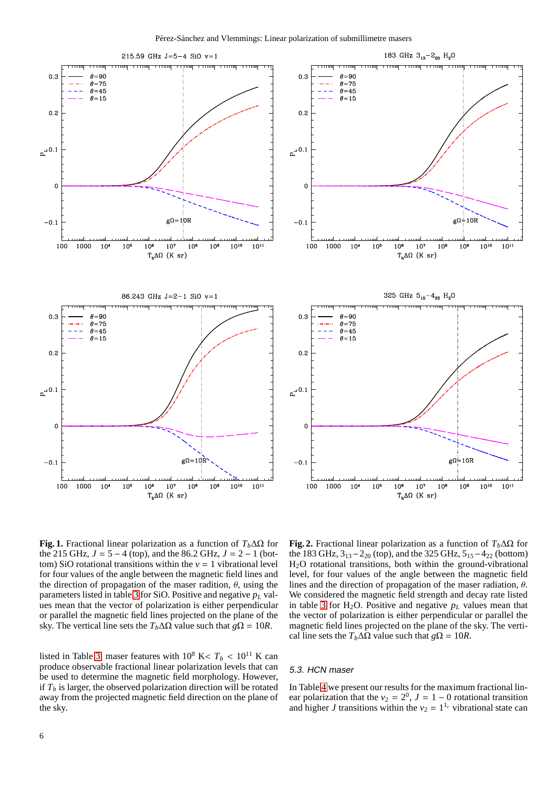

<span id="page-5-0"></span>**Fig. 1.** Fractional linear polarization as a function of  $T_b \Delta \Omega$  for the 215 GHz,  $J = 5 - 4$  (top), and the 86.2 GHz,  $J = 2 - 1$  (bottom) SiO rotational transitions within the  $v = 1$  vibrational level for four values of the angle between the magnetic field lines and the direction of propagation of the maser radition,  $\theta$ , using the parameters listed in table [3](#page-3-0) for SiO. Positive and negative *p<sup>L</sup>* values mean that the vector of polarization is either perpendicular or parallel the magnetic field lines projected on the plane of the sky. The vertical line sets the  $T_b \Delta \Omega$  value such that  $g\Omega = 10R$ .

listed in Table [3,](#page-3-0) maser features with  $10^8$  K <  $T_b$  <  $10^{11}$  K can produce observable fractional linear polarization levels that can be used to determine the magnetic field morphology. However, if  $T_b$  is larger, the observed polarization direction will be rotated away from the projected magnetic field direction on the plane of the sky.

<span id="page-5-1"></span>**Fig. 2.** Fractional linear polarization as a function of  $T_b \Delta \Omega$  for the 183 GHz,  $3_{13} - 2_{20}$  (top), and the 325 GHz,  $5_{15} - 4_{22}$  (bottom) H2O rotational transitions, both within the ground-vibrational level, for four values of the angle between the magnetic field lines and the direction of propagation of the maser radiation,  $\theta$ . We considered the magnetic field strength and decay rate listed in table [3](#page-3-0) for  $H_2O$ . Positive and negative  $p<sub>L</sub>$  values mean that the vector of polarization is either perpendicular or parallel the magnetic field lines projected on the plane of the sky. The vertical line sets the  $T_b \Delta \Omega$  value such that  $g\Omega = 10R$ .

## 5.3. HCN maser

In Table [4](#page-4-1) we present our results for the maximum fractional linear polarization that the  $v_2 = 2^0$ ,  $J = 1 - 0$  rotational transition and higher *J* transitions within the  $v_2 = 1^{l_c}$  vibrational state can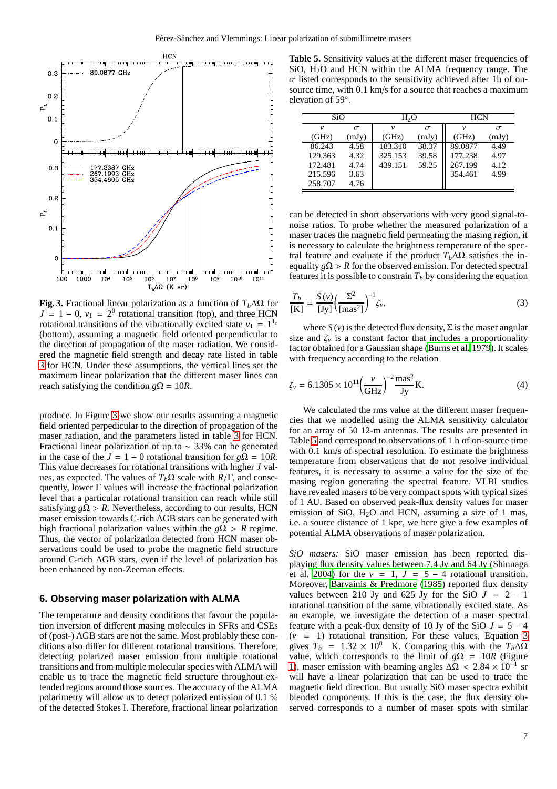

<span id="page-6-0"></span>**Fig. 3.** Fractional linear polarization as a function of  $T_b \Delta \Omega$  for  $J = 1 - 0$ ,  $v_1 = 2^0$  rotational transition (top), and three HCN rotational transitions of the vibrationally excited state  $v_1 = 1^{1_c}$ (bottom), assuming a magnetic field oriented perpendicular to the direction of propagation of the maser radiation. We considered the magnetic field strength and decay rate listed in table [3](#page-3-0) for HCN. Under these assumptions, the vertical lines set the maximum linear polarization that the different maser lines can reach satisfying the condition  $g\Omega = 10R$ .

produce. In Figure [3](#page-6-0) we show our results assuming a magnetic field oriented perpedicular to the direction of propagation of the maser radiation, and the parameters listed in table [3](#page-3-0) for HCN. Fractional linear polarization of up to ∼ 33% can be generated in the case of the  $J = 1 - 0$  rotational transition for  $g\Omega = 10R$ . This value decreases for rotational transitions with higher *J* values, as expected. The values of  $T_b\Omega$  scale with  $R/\Gamma$ , and consequently, lower Γ values will increase the fractional polarization level that a particular rotational transition can reach while still satisfying  $g\Omega > R$ . Nevertheless, according to our results, HCN maser emission towards C-rich AGB stars can be generated with high fractional polarization values within the  $g\Omega > R$  regime. Thus, the vector of polarization detected from HCN maser observations could be used to probe the magnetic field structure around C-rich AGB stars, even if the level of polarization has been enhanced by non-Zeeman effects.

### **6. Observing maser polarization with ALMA**

The temperature and density conditions that favour the population inversion of different masing molecules in SFRs and CSEs of (post-) AGB stars are not the same. Most problably these conditions also differ for different rotational transitions. Therefore, detecting polarized maser emission from multiple rotational transitions and from multiple molecular species with ALMA will enable us to trace the magnetic field structure throughout extended regions around those sources. The accuracy of the ALMA polarimetry will allow us to detect polarized emission of 0.1 % of the detected Stokes I. Therefore, fractional linear polarization

<span id="page-6-1"></span>Table 5. Sensitivity values at the different maser frequencies of SiO, H2O and HCN within the ALMA frequency range. The  $\sigma$  listed corresponds to the sensitivity achieved after 1h of onsource time, with 0.1 km/s for a source that reaches a maximum elevation of 59◦ .

| SiO     |          | H2O     |          | <b>HCN</b> |          |  |
|---------|----------|---------|----------|------------|----------|--|
| ν       | $\sigma$ | ν       | $\sigma$ |            | $\sigma$ |  |
| (GHz)   | (mJy)    | (GHz)   | (mJy)    | (GHz)      | (mJy)    |  |
| 86.243  | 4.58     | 183.310 | 38.37    | 89.0877    | 4.49     |  |
| 129.363 | 4.32     | 325.153 | 39.58    | 177.238    | 4.97     |  |
| 172.481 | 4.74     | 439.151 | 59.25    | 267.199    | 4.12     |  |
| 215.596 | 3.63     |         |          | 354.461    | 4.99     |  |
| 258.707 | 4.76     |         |          |            |          |  |

can be detected in short observations with very good signal-tonoise ratios. To probe whether the measured polarization of a maser traces the magnetic field permeating the masing region, it is necessary to calculate the brightness temperature of the spectral feature and evaluate if the product  $T_b \Delta \Omega$  satisfies the inequality  $g\Omega > R$  for the observed emission. For detected spectral features it is possible to constrain  $T<sub>b</sub>$  by considering the equation

<span id="page-6-2"></span>
$$
\frac{T_b}{\text{[K]}} = \frac{S(v)}{\text{[Jy]}} \left(\frac{\Sigma^2}{\text{[mas}^2\text{]}}\right)^{-1} \zeta_v,\tag{3}
$$

where  $S(v)$  is the detected flux density,  $\Sigma$  is the maser angular size and  $\zeta$  is a constant factor that includes a proportionality factor obtained for a Gaussian shape [\(Burns et al. 1979](#page-7-27)). It scales with frequency according to the relation

$$
\zeta_{\nu} = 6.1305 \times 10^{11} \left( \frac{\nu}{\text{GHz}} \right)^{-2} \frac{\text{mas}^2}{\text{Jy}} \text{K}.
$$
 (4)

We calculated the rms value at the different maser frequencies that we modelled using the ALMA sensitivity calculator for an array of 50 12-m antennas. The results are presented in Table [5](#page-6-1) and correspond to observations of 1 h of on-source time with 0.1 km/s of spectral resolution. To estimate the brightness temperature from observations that do not resolve individual features, it is necessary to assume a value for the size of the masing region generating the spectral feature. VLBI studies have revealed masers to be very compact spots with typical sizes of 1 AU. Based on observed peak-flux density values for maser emission of SiO,  $H_2O$  and HCN, assuming a size of 1 mas, i.e. a source distance of 1 kpc, we here give a few examples of potential ALMA observations of maser polarization.

*SiO masers:* SiO maser emission has been reported displayi[ng flux density values between 7.4 Jy and 64 Jy \(](#page-8-13)Shinnaga et al. [2004\)](#page-8-13) for the  $v = 1$ ,  $J = 5 - 4$  rotational transition. Moreover, [Barvainis & Predmore \(1985](#page-7-17)) reported flux density values between 210 Jy and 625 Jy for the SiO  $J = 2 - 1$ rotational transition of the same vibrationally excited state. As an example, we investigate the detection of a maser spectral feature with a peak-flux density of 10 Jy of the SiO  $J = 5 - 4$  $(v = 1)$  rotational transition. For these values, Equation [3](#page-6-2) gives  $T_b = 1.32 \times 10^8$  K. Comparing this with the  $T_b \Delta \Omega$ value, which corresponds to the limit of  $g\Omega = 10R$  (Figure [1\)](#page-5-0), maser emission with beaming angles  $\Delta\Omega$  < 2.84 × 10<sup>-1</sup> sr will have a linear polarization that can be used to trace the magnetic field direction. But usually SiO maser spectra exhibit blended components. If this is the case, the flux density observed corresponds to a number of maser spots with similar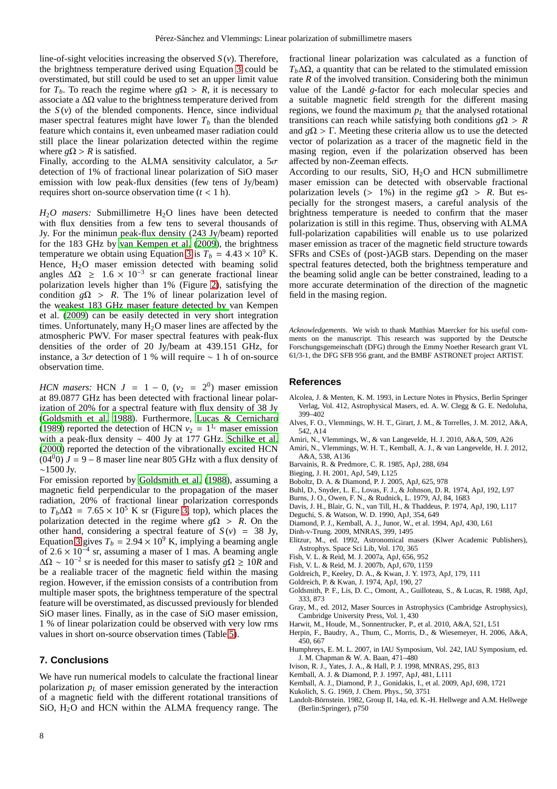line-of-sight velocities increasing the observed *S* (*v*). Therefore, the brightness temperature derived using Equation [3](#page-6-2) could be overstimated, but still could be used to set an upper limit value for  $T_b$ . To reach the regime where  $g\Omega > R$ , it is necessary to associate a  $\Delta\Omega$  value to the brightness temperature derived from the  $S(v)$  of the blended components. Hence, since individual maser spectral features might have lower  $T<sub>b</sub>$  than the blended feature which contains it, even unbeamed maser radiation could still place the linear polarization detected within the regime where  $g\Omega > R$  is satisfied.

Finally, according to the ALMA sensitivity calculator, a  $5\sigma$ detection of 1% of fractional linear polarization of SiO maser emission with low peak-flux densities (few tens of Jy/beam) requires short on-source observation time  $(t < 1 h)$ .

*H*<sub>2</sub>*O* masers: Submillimetre H<sub>2</sub><sup>O</sup> lines have been detected with flux densities from a few tens to several thousands of Jy. For the minimun peak-flux density (243 Jy/beam) reported for the 183 GHz by [van Kempen et al.](#page-8-32) [\(2009\)](#page-8-32), the brightness temperature we obtain using Equation [3](#page-6-2) is  $T_b = 4.43 \times 10^9$  K. Hence, H<sub>2</sub>O maser emission detected with beaming solid angles  $\Delta\Omega \geq 1.6 \times 10^{-3}$  sr can generate fractional linear polarization levels higher than 1% (Figure [2\)](#page-5-1), satisfying the condition  $g\Omega > R$ . The 1% of linear polarization level of the [weakest 183 GHz maser feature detected by](#page-8-32) van Kempen et al. [\(2009](#page-8-32)) can be easily detected in very short integration times. Unfortunately, many  $H_2O$  maser lines are affected by the atmospheric PWV. For maser spectral features with peak-flux densities of the order of 20 Jy/beam at 439.151 GHz, for instance, a 3σ detection of 1 % will require ∼ 1 h of on-source observation time.

*HCN masers:* HCN  $J = 1 - 0$ ,  $(v_2 = 2^0)$  maser emission at 89.0877 GHz has been detected with fractional linear polarization of 20% for a spectral feature with flux density of 38 Jy [\(Goldsmith et al. 1988](#page-7-23)). Furthermore, [Lucas & Cernicharo](#page-8-33) [\(1989\)](#page-8-33) reported the detection of HCN  $v_2 = 1^{1_c}$  maser emission with a peak-flux density ∼ 400 Jy at 177 GHz. [Schilke et al.](#page-8-34) [\(2000\)](#page-8-34) reported the detection of the vibrationally excited HCN  $(04<sup>0</sup>0)$  *J* = 9 – 8 maser line near 805 GHz with a flux density of ∼1500 Jy.

For emission reported by [Goldsmith et al. \(1988](#page-7-23)), assuming a magnetic field perpendicular to the propagation of the maser radiation, 20% of fractional linear polarization corresponds to  $T_b \Delta \Omega = 7.65 \times 10^5$  K sr (Figure [3,](#page-6-0) top), which places the polarization detected in the regime where  $g\Omega > R$ . On the other hand, considering a spectral feature of  $S(v) = 38$  Jy, Equation [3](#page-6-2) gives  $T_b = 2.94 \times 10^9$  K, implying a beaming angle of 2.6  $\times$  10<sup>-4</sup> sr, assuming a maser of 1 mas. A beaming angle  $\Delta\Omega \sim 10^{-2}$  sr is needed for this maser to satisfy  $g\Omega \ge 10R$  and be a realiable tracer of the magnetic field within the masing region. However, if the emission consists of a contribution from multiple maser spots, the brightness temperature of the spectral feature will be overstimated, as discussed previously for blended SiO maser lines. Finally, as in the case of SiO maser emission, 1 % of linear polarization could be observed with very low rms values in short on-source observation times (Table [5\)](#page-6-1).

## **7. Conclusions**

We have run numerical models to calculate the fractional linear polarization *p<sup>L</sup>* of maser emission generated by the interaction of a magnetic field with the different rotational transitions of SiO, H2O and HCN within the ALMA frequency range. The

fractional linear polarization was calculated as a function of  $T_b \Delta \Omega$ , a quantity that can be related to the stimulated emission rate *R* of the involved transition. Considering both the minimun value of the Landé *g*-factor for each molecular species and a suitable magnetic field strength for the different masing regions, we found the maximum  $p_l$  that the analysed rotational transitions can reach while satisfying both conditions  $g\Omega > R$ and  $g\Omega > \Gamma$ . Meeting these criteria allow us to use the detected vector of polarization as a tracer of the magnetic field in the masing region, even if the polarization observed has been affected by non-Zeeman effects.

According to our results, SiO,  $H<sub>2</sub>O$  and HCN submillimetre maser emission can be detected with observable fractional polarization levels (> 1%) in the regime  $g\Omega > R$ . But especially for the strongest masers, a careful analysis of the brightness temperature is needed to confirm that the maser polarization is still in this regime. Thus, observing with ALMA full-polarization capabilities will enable us to use polarized maser emission as tracer of the magnetic field structure towards SFRs and CSEs of (post-)AGB stars. Depending on the maser spectral features detected, both the brightness temperature and the beaming solid angle can be better constrained, leading to a more accurate determination of the direction of the magnetic field in the masing region.

*Acknowledgements.* We wish to thank Matthias Maercker for his useful comments on the manuscript. This research was supported by the Deutsche Forschungsgemeinschaft (DFG) through the Emmy Noether Research grant VL 61/3-1, the DFG SFB 956 grant, and the BMBF ASTRONET project ARTIST.

#### **References**

- <span id="page-7-20"></span>Alcolea, J. & Menten, K. M. 1993, in Lecture Notes in Physics, Berlin Springer Verlag, Vol. 412, Astrophysical Masers, ed. A. W. Clegg & G. E. Nedoluha, 399–402
- <span id="page-7-0"></span>Alves, F. O., Vlemmings, W. H. T., Girart, J. M., & Torrelles, J. M. 2012, A&A, 542, A14
- <span id="page-7-6"></span>Amiri, N., Vlemmings, W., & van Langevelde, H. J. 2010, A&A, 509, A26
- <span id="page-7-1"></span>Amiri, N., Vlemmings, W. H. T., Kemball, A. J., & van Langevelde, H. J. 2012, A&A, 538, A136
- <span id="page-7-17"></span>Barvainis, R. & Predmore, C. R. 1985, ApJ, 288, 694
- <span id="page-7-22"></span>Bieging, J. H. 2001, ApJ, 549, L125
- Boboltz, D. A. & Diamond, P. J. 2005, ApJ, 625, 978
- <span id="page-7-16"></span><span id="page-7-12"></span>Buhl, D., Snyder, L. E., Lovas, F. J., & Johnson, D. R. 1974, ApJ, 192, L97
- <span id="page-7-27"></span>Burns, J. O., Owen, F. N., & Rudnick, L. 1979, AJ, 84, 1683
- <span id="page-7-13"></span>Davis, J. H., Blair, G. N., van Till, H., & Thaddeus, P. 1974, ApJ, 190, L117
- <span id="page-7-11"></span>Deguchi, S. & Watson, W. D. 1990, ApJ, 354, 649
- <span id="page-7-15"></span>Diamond, P. J., Kemball, A. J., Junor, W., et al. 1994, ApJ, 430, L61
- <span id="page-7-9"></span>Dinh-v-Trung. 2009, MNRAS, 399, 1495
- <span id="page-7-7"></span>Elitzur, M., ed. 1992, Astronomical masers (Klwer Academic Publishers), Astrophys. Space Sci Lib, Vol. 170, 365
- <span id="page-7-5"></span>Fish, V. L. & Reid, M. J. 2007a, ApJ, 656, 952
- <span id="page-7-2"></span>Fish, V. L. & Reid, M. J. 2007b, ApJ, 670, 1159
- <span id="page-7-10"></span>Goldreich, P., Keeley, D. A., & Kwan, J. Y. 1973, ApJ, 179, 111
- <span id="page-7-24"></span>Goldreich, P. & Kwan, J. 1974, ApJ, 190, 27
- 
- <span id="page-7-23"></span>Goldsmith, P. F., Lis, D. C., Omont, A., Guilloteau, S., & Lucas, R. 1988, ApJ, 333, 873
- <span id="page-7-8"></span>Gray, M., ed. 2012, Maser Sources in Astrophysics (Cambridge Astrophysics), Cambridge University Press, Vol. 1, 430
- <span id="page-7-21"></span>Harwit, M., Houde, M., Sonnentrucker, P., et al. 2010, A&A, 521, L51
- <span id="page-7-3"></span>Herpin, F., Baudry, A., Thum, C., Morris, D., & Wiesemeyer, H. 2006, A&A,
- <span id="page-7-14"></span>450, 667 Humphreys, E. M. L. 2007, in IAU Symposium, Vol. 242, IAU Symposium, ed. J. M. Chapman & W. A. Baan, 471–480
- <span id="page-7-19"></span>Ivison, R. J., Yates, J. A., & Hall, P. J. 1998, MNRAS, 295, 813
- <span id="page-7-18"></span>Kemball, A. J. & Diamond, P. J. 1997, ApJ, 481, L111
- <span id="page-7-4"></span>Kemball, A. J., Diamond, P. J., Gonidakis, I., et al. 2009, ApJ, 698, 1721
- <span id="page-7-26"></span>Kukolich, S. G. 1969, J. Chem. Phys., 50, 3751
- <span id="page-7-25"></span>Landolt-Börnstein. 1982, Group II, 14a, ed. K.-H. Hellwege and A.M. Hellwege (Berlin:Springer), p750